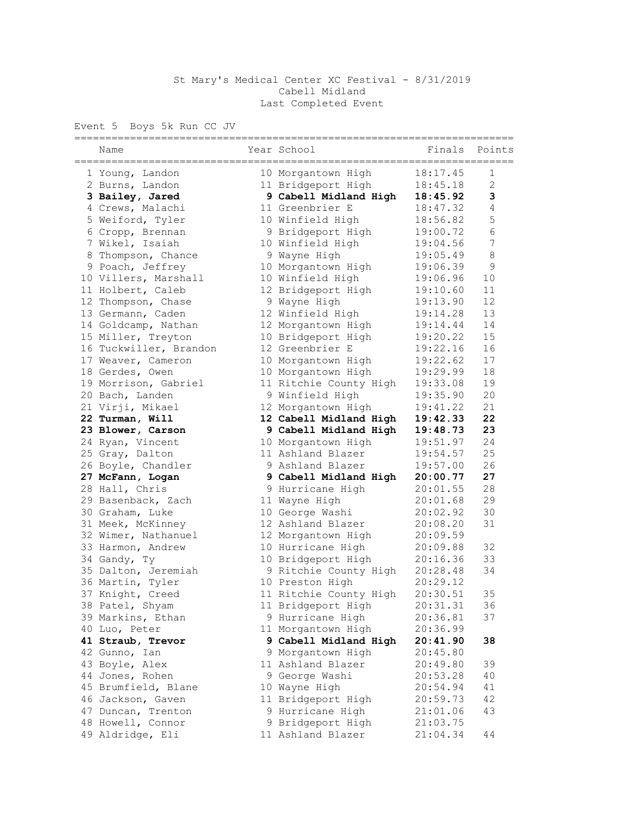## St Mary's Medical Center XC Festival - 8/31/2019 Cabell Midland Last Completed Event

Event 5 Boys 5k Run CC JV

| ===========<br>Name    | Year School            | Finals   | Points         |
|------------------------|------------------------|----------|----------------|
|                        |                        |          |                |
| 1 Young, Landon        | 10 Morgantown High     | 18:17.45 | 1              |
| 2 Burns, Landon        | 11 Bridgeport High     | 18:45.18 | $\overline{2}$ |
| 3 Bailey, Jared        | 9 Cabell Midland High  | 18:45.92 | 3              |
| 4 Crews, Malachi       | 11 Greenbrier E        | 18:47.32 | $\overline{4}$ |
| 5 Weiford, Tyler       | 10 Winfield High       | 18:56.82 | 5              |
| 6 Cropp, Brennan       | 9 Bridgeport High      | 19:00.72 | $\epsilon$     |
| 7 Wikel, Isaiah        | 10 Winfield High       | 19:04.56 | $\overline{7}$ |
| 8 Thompson, Chance     | 9 Wayne High           | 19:05.49 | $\,8\,$        |
| 9 Poach, Jeffrey       | 10 Morgantown High     | 19:06.39 | $\mathcal{G}$  |
| 10 Villers, Marshall   | 10 Winfield High       | 19:06.96 | 10             |
| 11 Holbert, Caleb      | 12 Bridgeport High     | 19:10.60 | 11             |
| 12 Thompson, Chase     | 9 Wayne High           | 19:13.90 | 12             |
| 13 Germann, Caden      | 12 Winfield High       | 19:14.28 | 13             |
| 14 Goldcamp, Nathan    | 12 Morgantown High     | 19:14.44 | 14             |
| 15 Miller, Treyton     | 10 Bridgeport High     | 19:20.22 | 15             |
| 16 Tuckwiller, Brandon | 12 Greenbrier E        | 19:22.16 | 16             |
| 17 Weaver, Cameron     | 10 Morgantown High     | 19:22.62 | 17             |
| 18 Gerdes, Owen        | 10 Morgantown High     | 19:29.99 | 18             |
| 19 Morrison, Gabriel   | 11 Ritchie County High | 19:33.08 | 19             |
| 20 Bach, Landen        | 9 Winfield High        | 19:35.90 | 20             |
| 21 Virji, Mikael       | 12 Morgantown High     | 19:41.22 | 21             |
| 22 Turman, Will        | 12 Cabell Midland High | 19:42.33 | 22             |
| 23 Blower, Carson      | 9 Cabell Midland High  | 19:48.73 | 23             |
| 24 Ryan, Vincent       | 10 Morgantown High     | 19:51.97 | 24             |
| 25 Gray, Dalton        | 11 Ashland Blazer      | 19:54.57 | 25             |
| 26 Boyle, Chandler     | 9 Ashland Blazer       | 19:57.00 | 26             |
| 27 McFann, Logan       | 9 Cabell Midland High  | 20:00.77 | 27             |
| 28 Hall, Chris         | 9 Hurricane High       | 20:01.55 | 28             |
| 29 Basenback, Zach     | 11 Wayne High          | 20:01.68 | 29             |
| 30 Graham, Luke        | 10 George Washi        | 20:02.92 | 30             |
| 31 Meek, McKinney      | 12 Ashland Blazer      | 20:08.20 | 31             |
| 32 Wimer, Nathanuel    | 12 Morgantown High     | 20:09.59 |                |
| 33 Harmon, Andrew      | 10 Hurricane High      | 20:09.88 | 32             |
| 34 Gandy, Ty           | 10 Bridgeport High     | 20:16.36 | 33             |
| 35 Dalton, Jeremiah    | 9 Ritchie County High  | 20:28.48 | 34             |
| 36 Martin, Tyler       | 10 Preston High        | 20:29.12 |                |
| 37 Knight, Creed       | 11 Ritchie County High | 20:30.51 | 35             |
| 38 Patel, Shyam        | 11 Bridgeport High     | 20:31.31 | 36             |
| 39 Markins, Ethan      | 9 Hurricane High       | 20:36.81 | 37             |
| 40 Luo, Peter          | 11 Morgantown High     | 20:36.99 |                |
| 41 Straub, Trevor      | 9 Cabell Midland High  | 20:41.90 | 38             |
| 42 Gunno, Ian          | 9 Morgantown High      | 20:45.80 |                |
| 43 Boyle, Alex         | 11 Ashland Blazer      | 20:49.80 | 39             |
| 44 Jones, Rohen        | 9 George Washi         | 20:53.28 | 40             |
| 45 Brumfield, Blane    | 10 Wayne High          | 20:54.94 | 41             |
| 46 Jackson, Gaven      | 11 Bridgeport High     | 20:59.73 | 42             |
| 47 Duncan, Trenton     | 9 Hurricane High       | 21:01.06 | 43             |
| 48 Howell, Connor      | 9 Bridgeport High      | 21:03.75 |                |
| 49 Aldridge, Eli       | 11 Ashland Blazer      | 21:04.34 | 44             |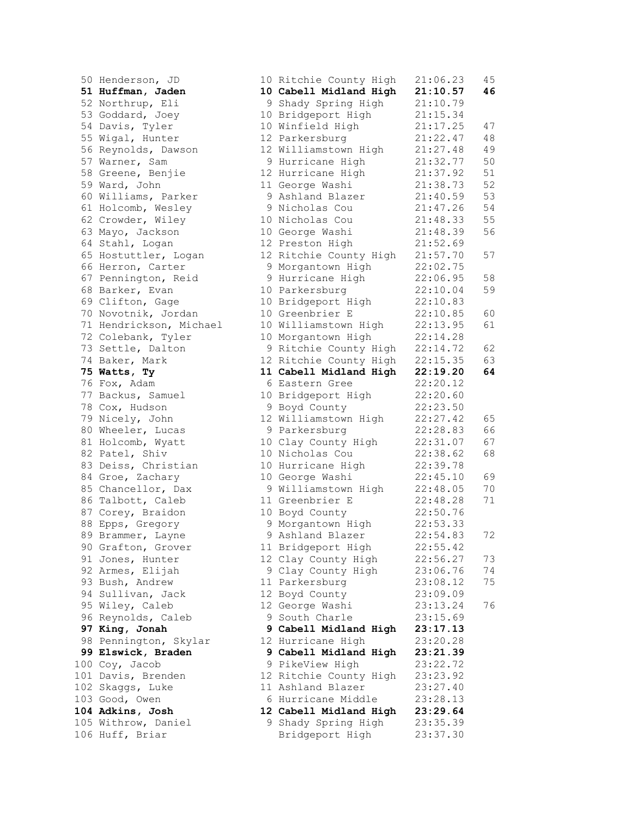50 Henderson, JD 51 Huffman, Jaden 52 Northrup, Eli 53 Goddard, Joey 54 Davis, Tyler 55 Wigal, Hunter 56 Reynolds, Dawson 57 Warner, Sam 58 Greene, Benjie 59 Ward, John 60 Williams, Parker 61 Holcomb, Wesley 62 Crowder, Wiley 63 Mayo, Jackson 64 Stahl, Logan 65 Hostuttler, Logan 66 Herron, Carter 67 Pennington, Reid 68 Barker, Evan 69 Clifton, Gage 70 Novotnik, Jordan 71 Hendrickson, Michael 72 Colebank, Tyler 73 Settle, Dalton 74 Baker, Mark 75 Watts, Ty 76 Fox, Adam 77 Backus, Samuel 78 Cox, Hudson 79 Nicely, John 80 Wheeler, Lucas 81 Holcomb, Wyatt 82 Patel, Shiv 83 Deiss, Christian 84 Groe, Zachary 85 Chancellor, Dax 86 Talbott, Caleb 87 Corey, Braidon 88 Epps, Gregory 89 Brammer, Layne 90 Grafton, Grover 91 Jones, Hunter 92 Armes, Elijah 93 Bush, Andrew 94 Sullivan, Jack 95 Wiley, Caleb 96 Reynolds, Caleb 97 King, Jonah 98 Pennington, Skylar 99 Elswick, Braden 100 Coy, Jacob 101 Davis, Brenden 102 Skaggs, Luke 103 Good, Owen 104 Adkins, Josh 105 Withrow, Daniel 106 Huff, Briar

|         | 10 Ritchie County High               | 21:06.23             | 45   |
|---------|--------------------------------------|----------------------|------|
|         | 10 Cabell Midland High               | 21:10.57             | 46   |
| 9       | Shady Spring High                    | 21:10.79             |      |
| 10      | Bridgeport High                      | 21:15.34             |      |
| 10      | Winfield High                        | 21:17.25             | 47   |
| 12      | Parkersburg                          | 21:22.47             | 48   |
| 12      | Williamstown High                    | 21:27.48             | 49   |
| 9       | Hurricane High                       | 21:32.77             | 50   |
| 12      | Hurricane High                       | 21:37.92             | 51   |
| $11 \,$ | George Washi                         | 21:38.73             | 52   |
| 9       | Ashland Blazer                       | 21:40.59             | 53   |
| 9       | Nicholas Cou                         | 21:47.26             | 54   |
| 10      | Nicholas Cou                         | 21:48.33             | 55   |
| 10      | George Washi                         | 21:48.39             | 56   |
| 12      | Preston High                         | 21:52.69             |      |
| 12      | Ritchie County High                  | 21:57.70             | 57   |
| 9       | Morgantown High                      | 22:02.75             |      |
| 9       | Hurricane High                       | 22:06.95             | 58   |
| 10      | Parkersburg                          | 22:10.04             | 59   |
| 10      | Bridgeport High                      | 22:10.83             |      |
| 10      | Greenbrier E                         | 22:10.85             | 60   |
| 10      | Williamstown High                    | 22:13.95             | 61   |
| 10      | Morgantown High                      | 22:14.28             |      |
| 9       | Ritchie County High                  | 22:14.72             | 62   |
| 12      | Ritchie County High                  | 22:15.35             | 63   |
| 11      | Cabell Midland High                  | 22:19.20             | 64   |
| 6       | Eastern Gree                         | 22:20.12             |      |
| 10      | Bridgeport High                      | 22:20.60             |      |
| 9       | Boyd County                          | 22:23.50             |      |
| 12      | Williamstown High                    | 22:27.42             | 65   |
| 9       | Parkersburg                          | 22:28.83             | 66   |
| 10      | Clay County High                     | 22:31.07             | 67   |
| 10      | Nicholas Cou                         | 22:38.62             | 68   |
| 10      | Hurricane High                       | 22:39.78             |      |
| 10      | George Washi                         | 22:45.10             | 69   |
| 9       | Williamstown High                    | 22:48.05             | $70$ |
|         | 11 Greenbrier E                      | 22:48.28             | 71   |
|         | 10 Boyd County                       | 22:50.76<br>22:53.33 |      |
| 9<br>9  | Morgantown High                      | 22:54.83             |      |
|         | Ashland Blazer                       |                      | 72   |
| 12      | 11 Bridgeport High                   | 22:55.42             | 73   |
| 9       | Clay County High<br>Clay County High | 22:56.27<br>23:06.76 | 74   |
| 11      |                                      | 23:08.12             | 75   |
| 12      | Parkersburg<br>Boyd County           | 23:09.09             |      |
| 12      |                                      | 23:13.24             | 76   |
| 9       | George Washi<br>South Charle         | 23:15.69             |      |
| 9       | Cabell Midland High                  | 23:17.13             |      |
| 12      | Hurricane High                       | 23:20.28             |      |
| 9       | Cabell Midland High                  | 23:21.39             |      |
| 9       | PikeView High                        | 23:22.72             |      |
| 12      | Ritchie County High                  | 23:23.92             |      |
|         | 11 Ashland Blazer                    | 23:27.40             |      |
|         | 6 Hurricane Middle                   | 23:28.13             |      |
|         | 12 Cabell Midland High               | 23:29.64             |      |
|         | 9 Shady Spring High                  | 23:35.39             |      |
|         | Bridgeport High                      | 23:37.30             |      |
|         |                                      |                      |      |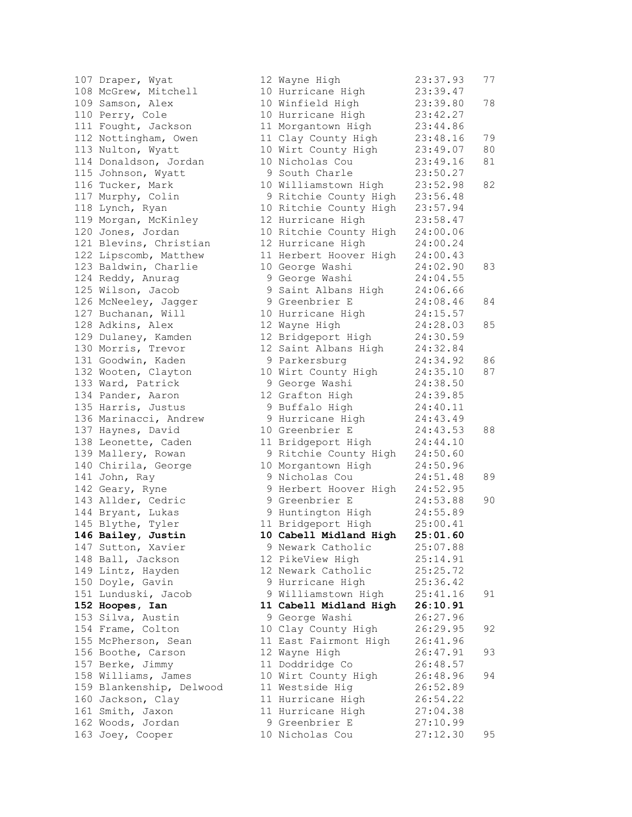| 107 Draper, Wyat         | 12 Wayne High          | 23:37.93 | 77 |
|--------------------------|------------------------|----------|----|
| 108 McGrew, Mitchell     | 10 Hurricane High      | 23:39.47 |    |
| 109 Samson, Alex         | 10 Winfield High       | 23:39.80 | 78 |
| 110 Perry, Cole          | 10 Hurricane High      | 23:42.27 |    |
| 111 Fought, Jackson      | 11 Morgantown High     | 23:44.86 |    |
| 112 Nottingham, Owen     | 11 Clay County High    | 23:48.16 | 79 |
| 113 Nulton, Wyatt        | 10 Wirt County High    | 23:49.07 | 80 |
| 114 Donaldson, Jordan    | 10 Nicholas Cou        | 23:49.16 | 81 |
| 115 Johnson, Wyatt       | 9 South Charle         | 23:50.27 |    |
| 116 Tucker, Mark         | 10 Williamstown High   | 23:52.98 | 82 |
| 117 Murphy, Colin        | 9 Ritchie County High  | 23:56.48 |    |
| 118 Lynch, Ryan          | 10 Ritchie County High | 23:57.94 |    |
| 119 Morgan, McKinley     | 12 Hurricane High      | 23:58.47 |    |
| 120 Jones, Jordan        | 10 Ritchie County High | 24:00.06 |    |
| 121 Blevins, Christian   | 12 Hurricane High      | 24:00.24 |    |
|                          |                        |          |    |
| 122 Lipscomb, Matthew    | 11 Herbert Hoover High | 24:00.43 |    |
| 123 Baldwin, Charlie     | 10 George Washi        | 24:02.90 | 83 |
| 124 Reddy, Anurag        | 9 George Washi         | 24:04.55 |    |
| 125 Wilson, Jacob        | 9 Saint Albans High    | 24:06.66 |    |
| 126 McNeeley, Jagger     | 9 Greenbrier E         | 24:08.46 | 84 |
| 127 Buchanan, Will       | 10 Hurricane High      | 24:15.57 |    |
| 128 Adkins, Alex         | 12 Wayne High          | 24:28.03 | 85 |
| 129 Dulaney, Kamden      | 12 Bridgeport High     | 24:30.59 |    |
| 130 Morris, Trevor       | 12 Saint Albans High   | 24:32.84 |    |
| 131 Goodwin, Kaden       | 9 Parkersburg          | 24:34.92 | 86 |
| 132 Wooten, Clayton      | 10 Wirt County High    | 24:35.10 | 87 |
| 133 Ward, Patrick        | 9 George Washi         | 24:38.50 |    |
| 134 Pander, Aaron        | 12 Grafton High        | 24:39.85 |    |
| 135 Harris, Justus       | 9 Buffalo High         | 24:40.11 |    |
| 136 Marinacci, Andrew    | 9 Hurricane High       | 24:43.49 |    |
| 137 Haynes, David        | 10 Greenbrier E        | 24:43.53 | 88 |
| 138 Leonette, Caden      | 11 Bridgeport High     | 24:44.10 |    |
| 139 Mallery, Rowan       | 9 Ritchie County High  | 24:50.60 |    |
| 140 Chirila, George      | 10 Morgantown High     | 24:50.96 |    |
| 141 John, Ray            | 9 Nicholas Cou         | 24:51.48 | 89 |
| 142 Geary, Ryne          | 9 Herbert Hoover High  | 24:52.95 |    |
| 143 Allder, Cedric       | 9 Greenbrier E         | 24:53.88 | 90 |
| 144 Bryant, Lukas        | 9 Huntington High      | 24:55.89 |    |
| 145 Blythe, Tyler        | 11 Bridgeport High     | 25:00.41 |    |
| 146 Bailey, Justin       | 10 Cabell Midland High | 25:01.60 |    |
| 147 Sutton, Xavier       | 9 Newark Catholic      | 25:07.88 |    |
| 148 Ball, Jackson        | 12 PikeView High       | 25:14.91 |    |
| 149 Lintz, Hayden        | 12 Newark Catholic     | 25:25.72 |    |
| 150 Doyle, Gavin         | 9 Hurricane High       | 25:36.42 |    |
| 151 Lunduski, Jacob      | 9 Williamstown High    | 25:41.16 | 91 |
| 152 Hoopes, Ian          | 11 Cabell Midland High | 26:10.91 |    |
| 153 Silva, Austin        | 9 George Washi         | 26:27.96 |    |
| 154 Frame, Colton        | 10 Clay County High    | 26:29.95 | 92 |
| 155 McPherson, Sean      | 11 East Fairmont High  | 26:41.96 |    |
| 156 Boothe, Carson       | 12 Wayne High          | 26:47.91 | 93 |
| 157 Berke, Jimmy         | 11 Doddridge Co        | 26:48.57 |    |
| 158 Williams, James      | 10 Wirt County High    | 26:48.96 | 94 |
| 159 Blankenship, Delwood | 11 Westside Hig        | 26:52.89 |    |
| 160 Jackson, Clay        | 11 Hurricane High      | 26:54.22 |    |
| 161 Smith, Jaxon         | 11 Hurricane High      | 27:04.38 |    |
| 162 Woods, Jordan        | 9 Greenbrier E         | 27:10.99 |    |
| 163 Joey, Cooper         | 10 Nicholas Cou        | 27:12.30 | 95 |
|                          |                        |          |    |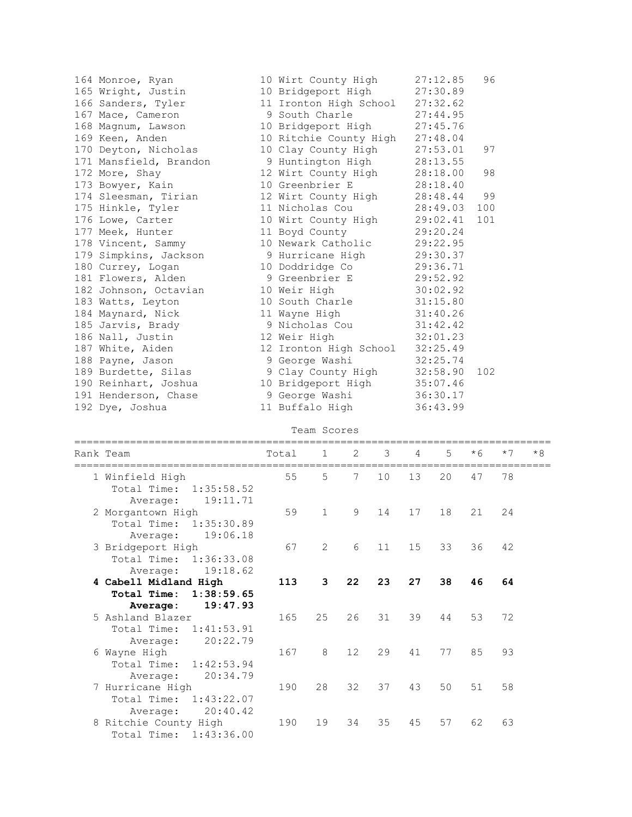| 164 Monroe, Ryan<br>165 Wright, Justin<br>166 Sanders, Tyler<br>167 Mace, Cameron<br>168 Magnum, Lawson<br>169 Keen, Anden<br>170 Deyton, Nicholas<br>171 Mansfield, Brandon<br>172 More, Shay<br>173 Bowyer, Kain<br>174 Sleesman, Tirian<br>175 Hinkle, Tyler<br>176 Lowe, Carter<br>177 Meek, Hunter<br>178 Vincent, Sammy<br>179 Simpkins, Jackson<br>180 Currey, Logan<br>181 Flowers, Alden<br>182 Johnson, Octavian<br>183 Watts, Leyton<br>184 Maynard, Nick<br>185 Jarvis, Brady<br>186 Nall, Justin<br>187 White, Aiden<br>188 Payne, Jason<br>189 Burdette, Silas<br>190 Reinhart, Joshua |       | 10 Wirt County High<br>10 Bridgeport High<br>11 Ironton High School<br>9 South Charle<br>10 Bridgeport High<br>10 Ritchie County High<br>10 Clay County High<br>9 Huntington High<br>12 Wirt County High<br>10 Greenbrier E<br>12 Wirt County High<br>11 Nicholas Cou<br>10 Wirt County High<br>11 Boyd County<br>10 Newark Catholic<br>9 Hurricane High<br>10 Doddridge Co<br>9 Greenbrier E<br>10 Weir High<br>10 South Charle<br>11 Wayne High<br>9 Nicholas Cou<br>12 Weir High<br>12 Ironton High School<br>9 George Washi<br>9 Clay County High<br>10 Bridgeport High |    |    |    | 27:12.85<br>27:30.89<br>27:32.62<br>27:44.95<br>27:45.76<br>27:48.04<br>27:53.01<br>28:13.55<br>28:18.00<br>28:18.40<br>28:48.44<br>28:49.03<br>29:02.41<br>29:20.24<br>29:22.95<br>29:30.37<br>29:36.71<br>29:52.92<br>30:02.92<br>31:15.80<br>31:40.26<br>31:42.42<br>32:01.23<br>32:25.49<br>32:25.74<br>32:58.90<br>35:07.46 | 96<br>97<br>98<br>99<br>100<br>101<br>102 |      |      |
|------------------------------------------------------------------------------------------------------------------------------------------------------------------------------------------------------------------------------------------------------------------------------------------------------------------------------------------------------------------------------------------------------------------------------------------------------------------------------------------------------------------------------------------------------------------------------------------------------|-------|-----------------------------------------------------------------------------------------------------------------------------------------------------------------------------------------------------------------------------------------------------------------------------------------------------------------------------------------------------------------------------------------------------------------------------------------------------------------------------------------------------------------------------------------------------------------------------|----|----|----|----------------------------------------------------------------------------------------------------------------------------------------------------------------------------------------------------------------------------------------------------------------------------------------------------------------------------------|-------------------------------------------|------|------|
| 191 Henderson, Chase                                                                                                                                                                                                                                                                                                                                                                                                                                                                                                                                                                                 |       | 9 George Washi                                                                                                                                                                                                                                                                                                                                                                                                                                                                                                                                                              |    |    |    | 36:30.17                                                                                                                                                                                                                                                                                                                         |                                           |      |      |
| 192 Dye, Joshua                                                                                                                                                                                                                                                                                                                                                                                                                                                                                                                                                                                      |       | 11 Buffalo High                                                                                                                                                                                                                                                                                                                                                                                                                                                                                                                                                             |    |    |    | 36:43.99                                                                                                                                                                                                                                                                                                                         |                                           |      |      |
|                                                                                                                                                                                                                                                                                                                                                                                                                                                                                                                                                                                                      |       | Team Scores                                                                                                                                                                                                                                                                                                                                                                                                                                                                                                                                                                 |    |    |    |                                                                                                                                                                                                                                                                                                                                  |                                           |      |      |
| Rank Team                                                                                                                                                                                                                                                                                                                                                                                                                                                                                                                                                                                            | Total | $\mathbf 1$                                                                                                                                                                                                                                                                                                                                                                                                                                                                                                                                                                 | 2  | 3  | 4  | 5                                                                                                                                                                                                                                                                                                                                | $*6$                                      | $*7$ | $*8$ |
| 1 Winfield High<br>Total Time:<br>1:35:58.52<br>19:11.71<br>Average:                                                                                                                                                                                                                                                                                                                                                                                                                                                                                                                                 |       | 55<br>5                                                                                                                                                                                                                                                                                                                                                                                                                                                                                                                                                                     | 7  | 10 | 13 | 20                                                                                                                                                                                                                                                                                                                               | 47                                        | 78   |      |
| 2 Morgantown High<br>Total Time: 1:35:30.89<br>Average: 19:06.18                                                                                                                                                                                                                                                                                                                                                                                                                                                                                                                                     |       | 59<br>$\mathbf{1}$                                                                                                                                                                                                                                                                                                                                                                                                                                                                                                                                                          | 9  | 14 | 17 | 18                                                                                                                                                                                                                                                                                                                               | 21                                        | 24   |      |
| 3 Bridgeport High<br>Total Time:<br>1:36:33.08<br>Average:<br>19:18.62                                                                                                                                                                                                                                                                                                                                                                                                                                                                                                                               |       | 67<br>$\mathbf{2}$                                                                                                                                                                                                                                                                                                                                                                                                                                                                                                                                                          | 6  | 11 | 15 | 33                                                                                                                                                                                                                                                                                                                               | 36                                        | 42   |      |
| 4 Cabell Midland High<br>Total Time:<br>1:38:59.65                                                                                                                                                                                                                                                                                                                                                                                                                                                                                                                                                   | 113   | 3                                                                                                                                                                                                                                                                                                                                                                                                                                                                                                                                                                           | 22 | 23 | 27 | 38                                                                                                                                                                                                                                                                                                                               | 46                                        | 64   |      |
| 19:47.93<br>Average:                                                                                                                                                                                                                                                                                                                                                                                                                                                                                                                                                                                 |       |                                                                                                                                                                                                                                                                                                                                                                                                                                                                                                                                                                             |    |    |    |                                                                                                                                                                                                                                                                                                                                  |                                           |      |      |
| 5 Ashland Blazer<br>Total Time:<br>1:41:53.91<br>20:22.79<br>Average:                                                                                                                                                                                                                                                                                                                                                                                                                                                                                                                                | 165   | 25                                                                                                                                                                                                                                                                                                                                                                                                                                                                                                                                                                          | 26 | 31 | 39 | 44                                                                                                                                                                                                                                                                                                                               | 53                                        | 72   |      |
| 6 Wayne High<br>Total Time:<br>1:42:53.94<br>20:34.79<br>Average:                                                                                                                                                                                                                                                                                                                                                                                                                                                                                                                                    | 167   | 8                                                                                                                                                                                                                                                                                                                                                                                                                                                                                                                                                                           | 12 | 29 | 41 | 77                                                                                                                                                                                                                                                                                                                               | 85                                        | 93   |      |
| 7 Hurricane High<br>Total Time:<br>1:43:22.07<br>20:40.42<br>Average:                                                                                                                                                                                                                                                                                                                                                                                                                                                                                                                                | 190   | 28                                                                                                                                                                                                                                                                                                                                                                                                                                                                                                                                                                          | 32 | 37 | 43 | 50                                                                                                                                                                                                                                                                                                                               | 51                                        | 58   |      |
| 8 Ritchie County High<br>Total Time: 1:43:36.00                                                                                                                                                                                                                                                                                                                                                                                                                                                                                                                                                      | 190   | 19                                                                                                                                                                                                                                                                                                                                                                                                                                                                                                                                                                          | 34 | 35 | 45 | 57                                                                                                                                                                                                                                                                                                                               | 62                                        | 63   |      |